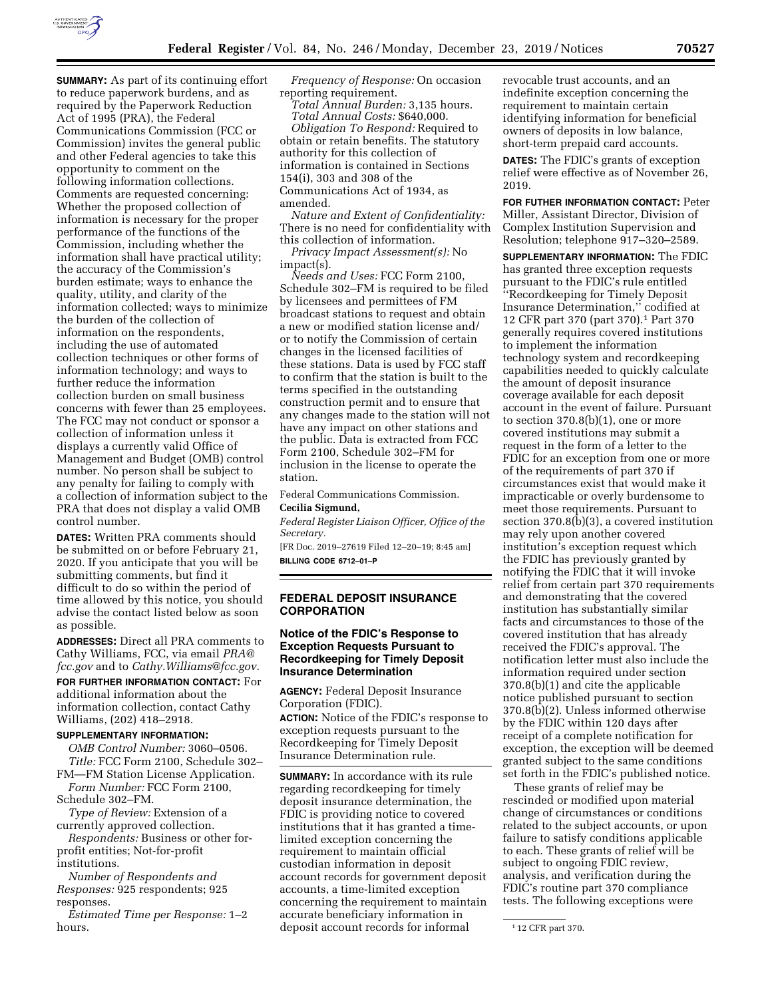

**SUMMARY:** As part of its continuing effort to reduce paperwork burdens, and as required by the Paperwork Reduction Act of 1995 (PRA), the Federal Communications Commission (FCC or Commission) invites the general public and other Federal agencies to take this opportunity to comment on the following information collections. Comments are requested concerning: Whether the proposed collection of information is necessary for the proper performance of the functions of the Commission, including whether the information shall have practical utility; the accuracy of the Commission's burden estimate; ways to enhance the quality, utility, and clarity of the information collected; ways to minimize the burden of the collection of information on the respondents, including the use of automated collection techniques or other forms of information technology; and ways to further reduce the information collection burden on small business concerns with fewer than 25 employees. The FCC may not conduct or sponsor a collection of information unless it displays a currently valid Office of Management and Budget (OMB) control number. No person shall be subject to any penalty for failing to comply with a collection of information subject to the PRA that does not display a valid OMB control number.

**DATES:** Written PRA comments should be submitted on or before February 21, 2020. If you anticipate that you will be submitting comments, but find it difficult to do so within the period of time allowed by this notice, you should advise the contact listed below as soon as possible.

**ADDRESSES:** Direct all PRA comments to Cathy Williams, FCC, via email *[PRA@](mailto:PRA@fcc.gov) [fcc.gov](mailto:PRA@fcc.gov)* and to *[Cathy.Williams@fcc.gov.](mailto:Cathy.Williams@fcc.gov)* 

**FOR FURTHER INFORMATION CONTACT:** For additional information about the information collection, contact Cathy Williams, (202) 418–2918.

#### **SUPPLEMENTARY INFORMATION:**

*OMB Control Number:* 3060–0506. *Title:* FCC Form 2100, Schedule 302–

FM—FM Station License Application. *Form Number:* FCC Form 2100,

Schedule 302–FM. *Type of Review:* Extension of a currently approved collection.

*Respondents:* Business or other forprofit entities; Not-for-profit

institutions.

*Number of Respondents and Responses:* 925 respondents; 925 responses.

*Estimated Time per Response:* 1–2 hours.

*Frequency of Response:* On occasion reporting requirement.

*Total Annual Burden:* 3,135 hours. *Total Annual Costs:* \$640,000.

*Obligation To Respond:* Required to obtain or retain benefits. The statutory authority for this collection of information is contained in Sections 154(i), 303 and 308 of the Communications Act of 1934, as amended.

*Nature and Extent of Confidentiality:*  There is no need for confidentiality with this collection of information.

*Privacy Impact Assessment(s):* No impact(s).

*Needs and Uses:* FCC Form 2100, Schedule 302–FM is required to be filed by licensees and permittees of FM broadcast stations to request and obtain a new or modified station license and/ or to notify the Commission of certain changes in the licensed facilities of these stations. Data is used by FCC staff to confirm that the station is built to the terms specified in the outstanding construction permit and to ensure that any changes made to the station will not have any impact on other stations and the public. Data is extracted from FCC Form 2100, Schedule 302–FM for inclusion in the license to operate the station.

Federal Communications Commission.

# **Cecilia Sigmund,**

*Federal Register Liaison Officer, Office of the Secretary.* 

[FR Doc. 2019–27619 Filed 12–20–19; 8:45 am] **BILLING CODE 6712–01–P** 

### **FEDERAL DEPOSIT INSURANCE CORPORATION**

#### **Notice of the FDIC's Response to Exception Requests Pursuant to Recordkeeping for Timely Deposit Insurance Determination**

**AGENCY:** Federal Deposit Insurance Corporation (FDIC). **ACTION:** Notice of the FDIC's response to exception requests pursuant to the Recordkeeping for Timely Deposit Insurance Determination rule.

**SUMMARY:** In accordance with its rule regarding recordkeeping for timely deposit insurance determination, the FDIC is providing notice to covered institutions that it has granted a timelimited exception concerning the requirement to maintain official custodian information in deposit account records for government deposit accounts, a time-limited exception concerning the requirement to maintain accurate beneficiary information in deposit account records for informal

revocable trust accounts, and an indefinite exception concerning the requirement to maintain certain identifying information for beneficial owners of deposits in low balance, short-term prepaid card accounts.

**DATES:** The FDIC's grants of exception relief were effective as of November 26, 2019.

**FOR FUTHER INFORMATION CONTACT:** Peter Miller, Assistant Director, Division of Complex Institution Supervision and Resolution; telephone 917–320–2589.

**SUPPLEMENTARY INFORMATION:** The FDIC has granted three exception requests pursuant to the FDIC's rule entitled ''Recordkeeping for Timely Deposit Insurance Determination,'' codified at 12 CFR part 370 (part 370).1 Part 370 generally requires covered institutions to implement the information technology system and recordkeeping capabilities needed to quickly calculate the amount of deposit insurance coverage available for each deposit account in the event of failure. Pursuant to section  $370.8(b)(1)$ , one or more covered institutions may submit a request in the form of a letter to the FDIC for an exception from one or more of the requirements of part 370 if circumstances exist that would make it impracticable or overly burdensome to meet those requirements. Pursuant to section 370.8(b)(3), a covered institution may rely upon another covered institution's exception request which the FDIC has previously granted by notifying the FDIC that it will invoke relief from certain part 370 requirements and demonstrating that the covered institution has substantially similar facts and circumstances to those of the covered institution that has already received the FDIC's approval. The notification letter must also include the information required under section 370.8(b)(1) and cite the applicable notice published pursuant to section 370.8(b)(2). Unless informed otherwise by the FDIC within 120 days after receipt of a complete notification for exception, the exception will be deemed granted subject to the same conditions set forth in the FDIC's published notice.

These grants of relief may be rescinded or modified upon material change of circumstances or conditions related to the subject accounts, or upon failure to satisfy conditions applicable to each. These grants of relief will be subject to ongoing FDIC review, analysis, and verification during the FDIC's routine part 370 compliance tests. The following exceptions were

<sup>1</sup> 12 CFR part 370.